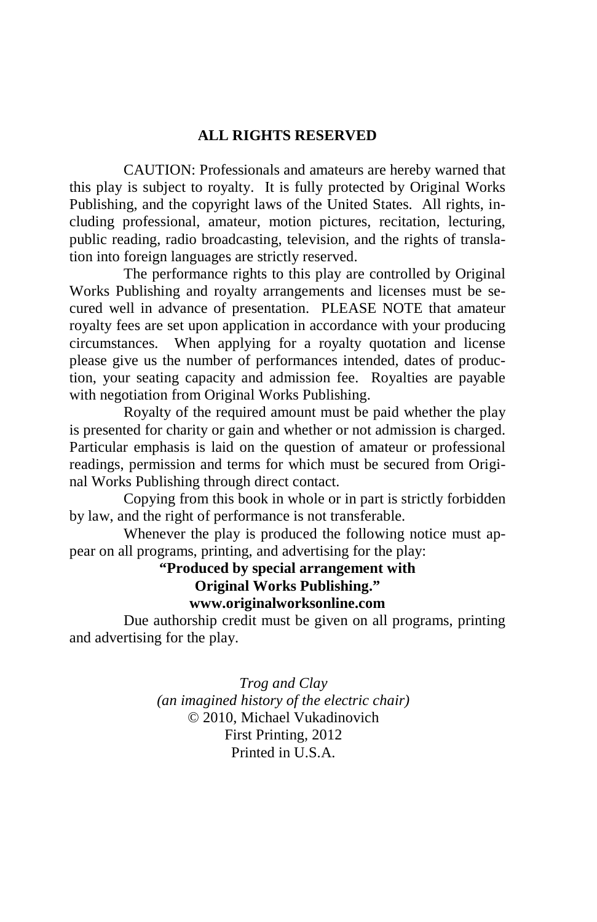### **ALL RIGHTS RESERVED**

 CAUTION: Professionals and amateurs are hereby warned that this play is subject to royalty. It is fully protected by Original Works Publishing, and the copyright laws of the United States. All rights, including professional, amateur, motion pictures, recitation, lecturing, public reading, radio broadcasting, television, and the rights of translation into foreign languages are strictly reserved.

 The performance rights to this play are controlled by Original Works Publishing and royalty arrangements and licenses must be secured well in advance of presentation. PLEASE NOTE that amateur royalty fees are set upon application in accordance with your producing circumstances. When applying for a royalty quotation and license please give us the number of performances intended, dates of production, your seating capacity and admission fee. Royalties are payable with negotiation from Original Works Publishing.

 Royalty of the required amount must be paid whether the play is presented for charity or gain and whether or not admission is charged. Particular emphasis is laid on the question of amateur or professional readings, permission and terms for which must be secured from Original Works Publishing through direct contact.

 Copying from this book in whole or in part is strictly forbidden by law, and the right of performance is not transferable.

 Whenever the play is produced the following notice must appear on all programs, printing, and advertising for the play:

> **"Produced by special arrangement with Original Works Publishing." www.originalworksonline.com**

 Due authorship credit must be given on all programs, printing and advertising for the play.

> *Trog and Clay (an imagined history of the electric chair)*  © 2010, Michael Vukadinovich First Printing, 2012 Printed in U.S.A.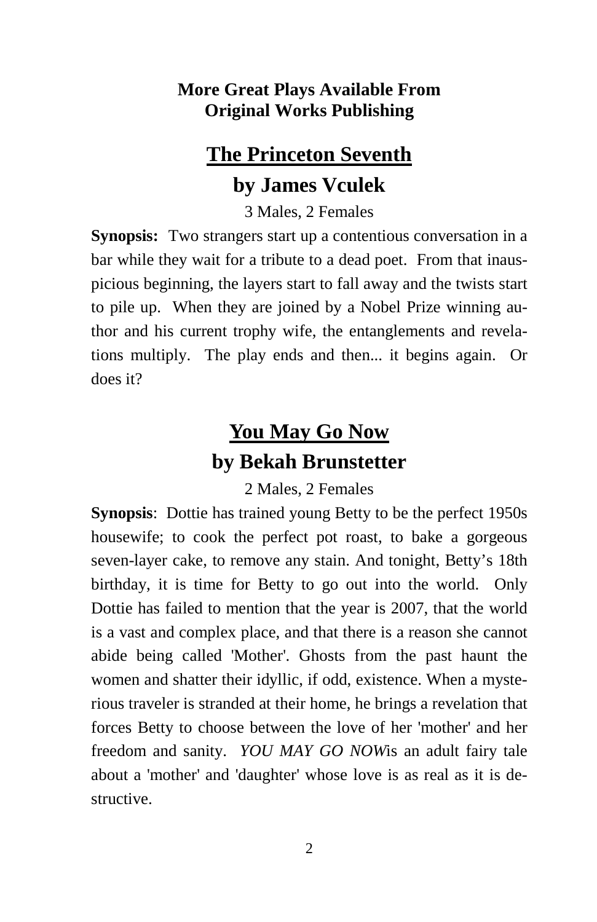### **More Great Plays Available From Original Works Publishing**

## **The Princeton Seventh by James Vculek**

3 Males, 2 Females

**Synopsis:** Two strangers start up a contentious conversation in a bar while they wait for a tribute to a dead poet. From that inauspicious beginning, the layers start to fall away and the twists start to pile up. When they are joined by a Nobel Prize winning author and his current trophy wife, the entanglements and revelations multiply. The play ends and then... it begins again. Or does it?

## **You May Go Now by Bekah Brunstetter**

2 Males, 2 Females

**Synopsis**: Dottie has trained young Betty to be the perfect 1950s housewife; to cook the perfect pot roast, to bake a gorgeous seven-layer cake, to remove any stain. And tonight, Betty's 18th birthday, it is time for Betty to go out into the world. Only Dottie has failed to mention that the year is 2007, that the world is a vast and complex place, and that there is a reason she cannot abide being called 'Mother'. Ghosts from the past haunt the women and shatter their idyllic, if odd, existence. When a mysterious traveler is stranded at their home, he brings a revelation that forces Betty to choose between the love of her 'mother' and her freedom and sanity. *YOU MAY GO NOW*is an adult fairy tale about a 'mother' and 'daughter' whose love is as real as it is destructive.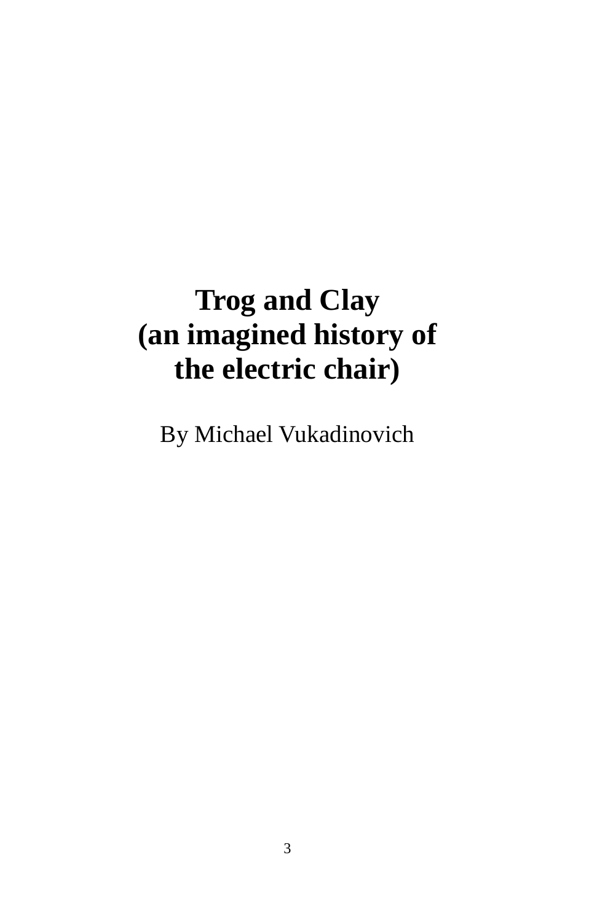# **Trog and Clay (an imagined history of the electric chair)**

By Michael Vukadinovich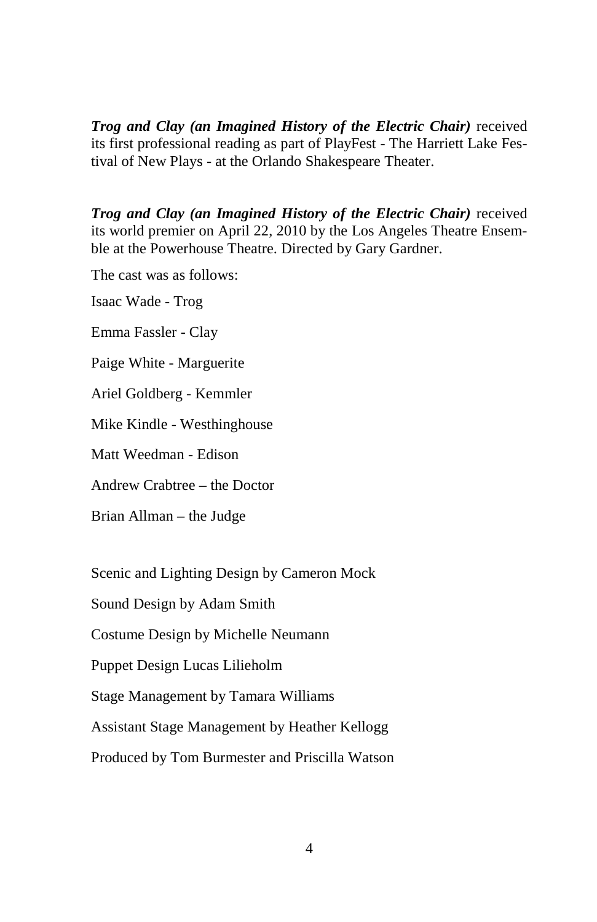*Trog and Clay (an Imagined History of the Electric Chair)* received its first professional reading as part of PlayFest - The Harriett Lake Festival of New Plays - at the Orlando Shakespeare Theater.

*Trog and Clay (an Imagined History of the Electric Chair)* received its world premier on April 22, 2010 by the Los Angeles Theatre Ensemble at the Powerhouse Theatre. Directed by Gary Gardner.

The cast was as follows:

Isaac Wade - Trog

Emma Fassler - Clay

Paige White - Marguerite

Ariel Goldberg - Kemmler

Mike Kindle - Westhinghouse

Matt Weedman - Edison

Andrew Crabtree – the Doctor

Brian Allman – the Judge

Scenic and Lighting Design by Cameron Mock

Sound Design by Adam Smith

Costume Design by Michelle Neumann

Puppet Design Lucas Lilieholm

Stage Management by Tamara Williams

Assistant Stage Management by Heather Kellogg

Produced by Tom Burmester and Priscilla Watson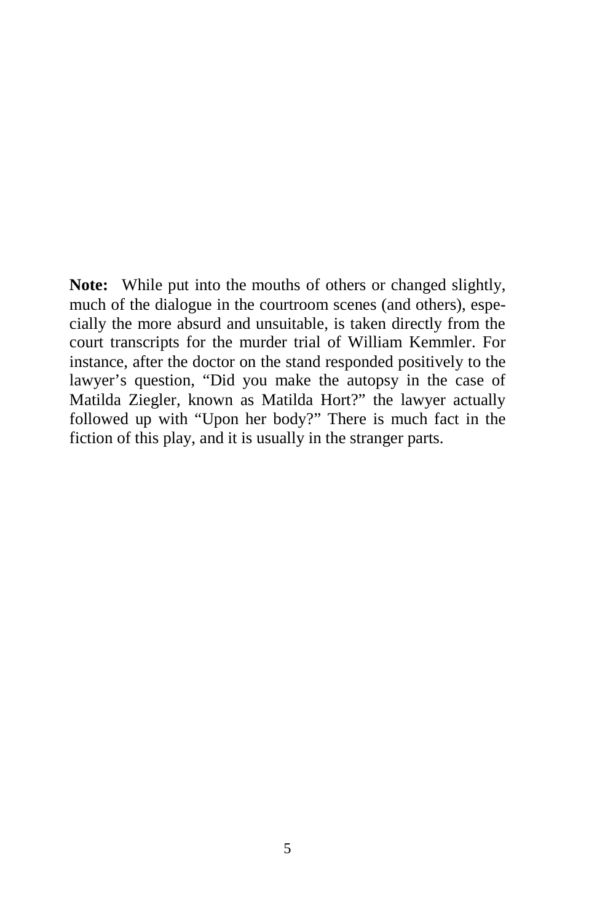**Note:** While put into the mouths of others or changed slightly, much of the dialogue in the courtroom scenes (and others), especially the more absurd and unsuitable, is taken directly from the court transcripts for the murder trial of William Kemmler. For instance, after the doctor on the stand responded positively to the lawyer's question, "Did you make the autopsy in the case of Matilda Ziegler, known as Matilda Hort?" the lawyer actually followed up with "Upon her body?" There is much fact in the fiction of this play, and it is usually in the stranger parts.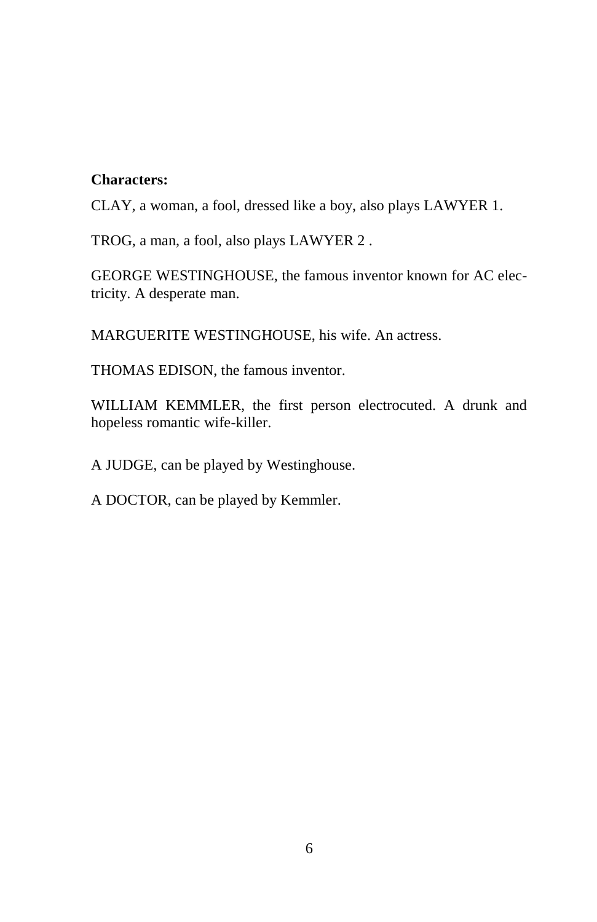### **Characters:**

CLAY, a woman, a fool, dressed like a boy, also plays LAWYER 1.

TROG, a man, a fool, also plays LAWYER 2 .

GEORGE WESTINGHOUSE, the famous inventor known for AC electricity. A desperate man.

MARGUERITE WESTINGHOUSE, his wife. An actress.

THOMAS EDISON, the famous inventor.

WILLIAM KEMMLER, the first person electrocuted. A drunk and hopeless romantic wife-killer.

A JUDGE, can be played by Westinghouse.

A DOCTOR, can be played by Kemmler.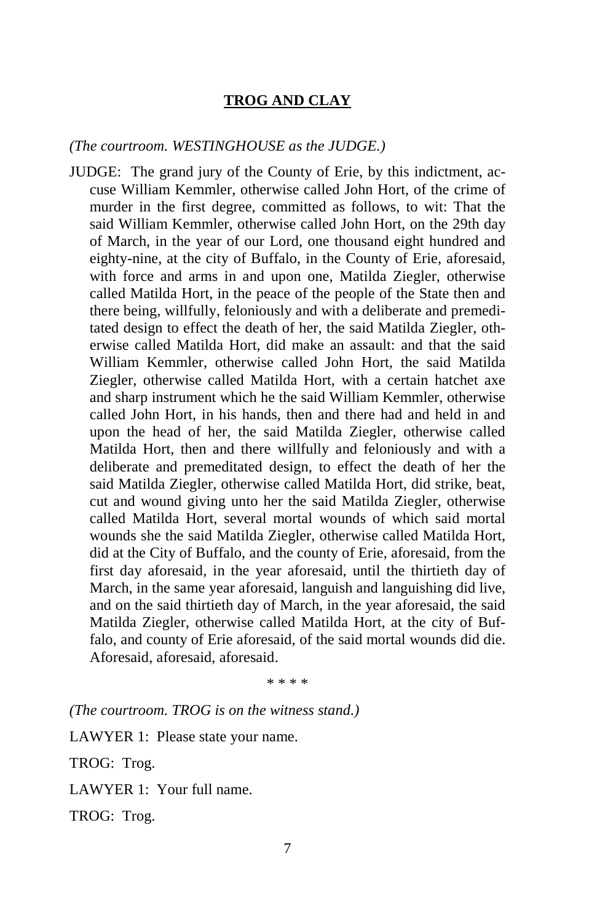### **TROG AND CLAY**

#### *(The courtroom. WESTINGHOUSE as the JUDGE.)*

JUDGE: The grand jury of the County of Erie, by this indictment, accuse William Kemmler, otherwise called John Hort, of the crime of murder in the first degree, committed as follows, to wit: That the said William Kemmler, otherwise called John Hort, on the 29th day of March, in the year of our Lord, one thousand eight hundred and eighty-nine, at the city of Buffalo, in the County of Erie, aforesaid, with force and arms in and upon one, Matilda Ziegler, otherwise called Matilda Hort, in the peace of the people of the State then and there being, willfully, feloniously and with a deliberate and premeditated design to effect the death of her, the said Matilda Ziegler, otherwise called Matilda Hort, did make an assault: and that the said William Kemmler, otherwise called John Hort, the said Matilda Ziegler, otherwise called Matilda Hort, with a certain hatchet axe and sharp instrument which he the said William Kemmler, otherwise called John Hort, in his hands, then and there had and held in and upon the head of her, the said Matilda Ziegler, otherwise called Matilda Hort, then and there willfully and feloniously and with a deliberate and premeditated design, to effect the death of her the said Matilda Ziegler, otherwise called Matilda Hort, did strike, beat, cut and wound giving unto her the said Matilda Ziegler, otherwise called Matilda Hort, several mortal wounds of which said mortal wounds she the said Matilda Ziegler, otherwise called Matilda Hort, did at the City of Buffalo, and the county of Erie, aforesaid, from the first day aforesaid, in the year aforesaid, until the thirtieth day of March, in the same year aforesaid, languish and languishing did live, and on the said thirtieth day of March, in the year aforesaid, the said Matilda Ziegler, otherwise called Matilda Hort, at the city of Buffalo, and county of Erie aforesaid, of the said mortal wounds did die. Aforesaid, aforesaid, aforesaid.

\* \* \* \*

*(The courtroom. TROG is on the witness stand.)*

LAWYER 1: Please state your name.

TROG: Trog.

LAWYER 1: Your full name.

TROG: Trog.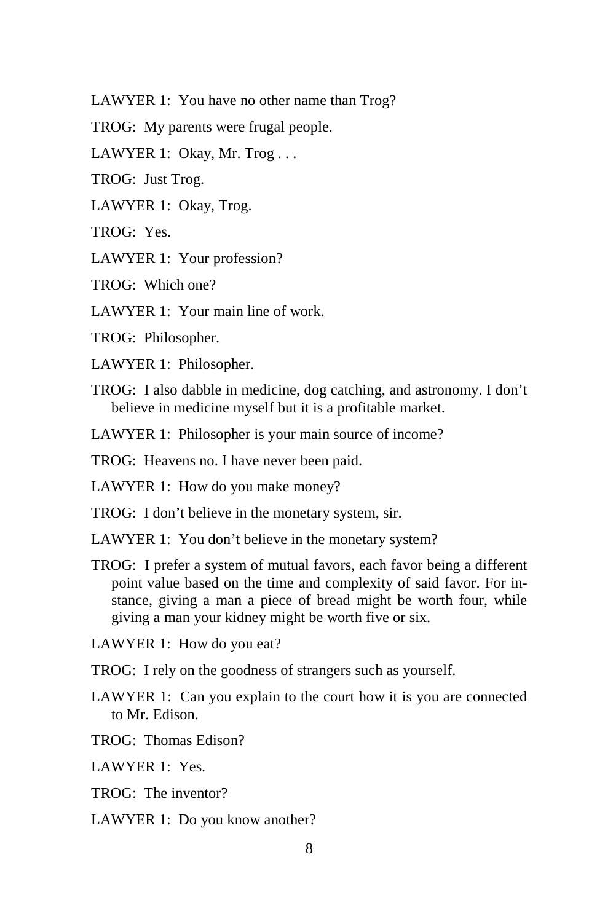LAWYER 1: You have no other name than Trog?

TROG: My parents were frugal people.

LAWYER 1: Okay, Mr. Trog...

TROG: Just Trog.

LAWYER 1: Okay, Trog.

TROG: Yes.

LAWYER 1: Your profession?

TROG: Which one?

LAWYER 1: Your main line of work.

TROG: Philosopher.

LAWYER 1: Philosopher.

TROG: I also dabble in medicine, dog catching, and astronomy. I don't believe in medicine myself but it is a profitable market.

LAWYER 1: Philosopher is your main source of income?

TROG: Heavens no. I have never been paid.

LAWYER 1: How do you make money?

TROG: I don't believe in the monetary system, sir.

LAWYER 1: You don't believe in the monetary system?

TROG: I prefer a system of mutual favors, each favor being a different point value based on the time and complexity of said favor. For instance, giving a man a piece of bread might be worth four, while giving a man your kidney might be worth five or six.

LAWYER 1: How do you eat?

TROG: I rely on the goodness of strangers such as yourself.

LAWYER 1: Can you explain to the court how it is you are connected to Mr. Edison.

TROG: Thomas Edison?

LAWYER 1: Yes.

TROG: The inventor?

LAWYER 1: Do you know another?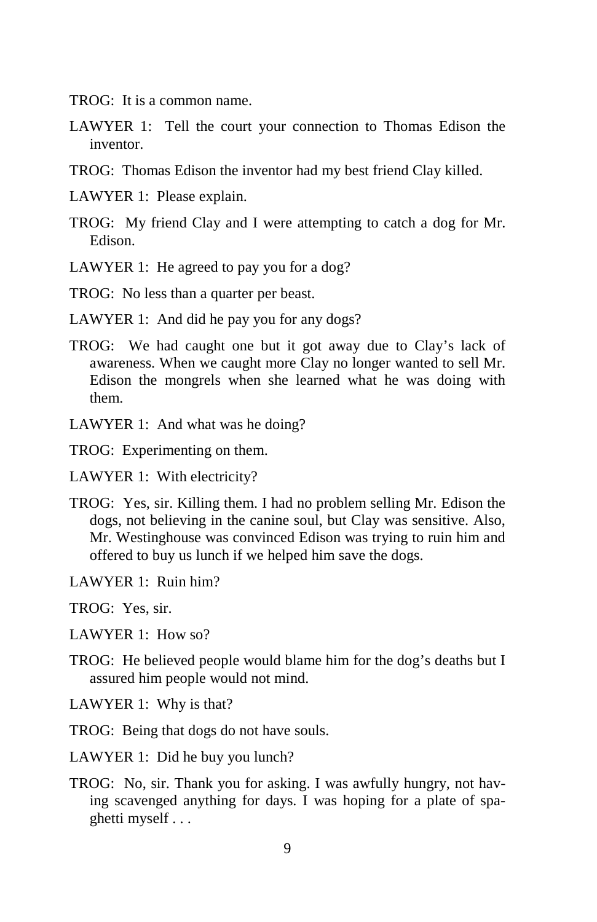- TROG: It is a common name.
- LAWYER 1: Tell the court your connection to Thomas Edison the inventor.
- TROG: Thomas Edison the inventor had my best friend Clay killed.
- LAWYER 1: Please explain.
- TROG: My friend Clay and I were attempting to catch a dog for Mr. Edison.
- LAWYER 1: He agreed to pay you for a dog?
- TROG: No less than a quarter per beast.
- LAWYER 1: And did he pay you for any dogs?
- TROG: We had caught one but it got away due to Clay's lack of awareness. When we caught more Clay no longer wanted to sell Mr. Edison the mongrels when she learned what he was doing with them.
- LAWYER 1: And what was he doing?
- TROG: Experimenting on them.
- LAWYER 1: With electricity?
- TROG: Yes, sir. Killing them. I had no problem selling Mr. Edison the dogs, not believing in the canine soul, but Clay was sensitive. Also, Mr. Westinghouse was convinced Edison was trying to ruin him and offered to buy us lunch if we helped him save the dogs.
- LAWYER 1: Ruin him?
- TROG: Yes, sir.
- LAWYER 1: How so?
- TROG: He believed people would blame him for the dog's deaths but I assured him people would not mind.
- LAWYER 1: Why is that?
- TROG: Being that dogs do not have souls.
- LAWYER 1: Did he buy you lunch?
- TROG: No, sir. Thank you for asking. I was awfully hungry, not having scavenged anything for days. I was hoping for a plate of spaghetti myself . . .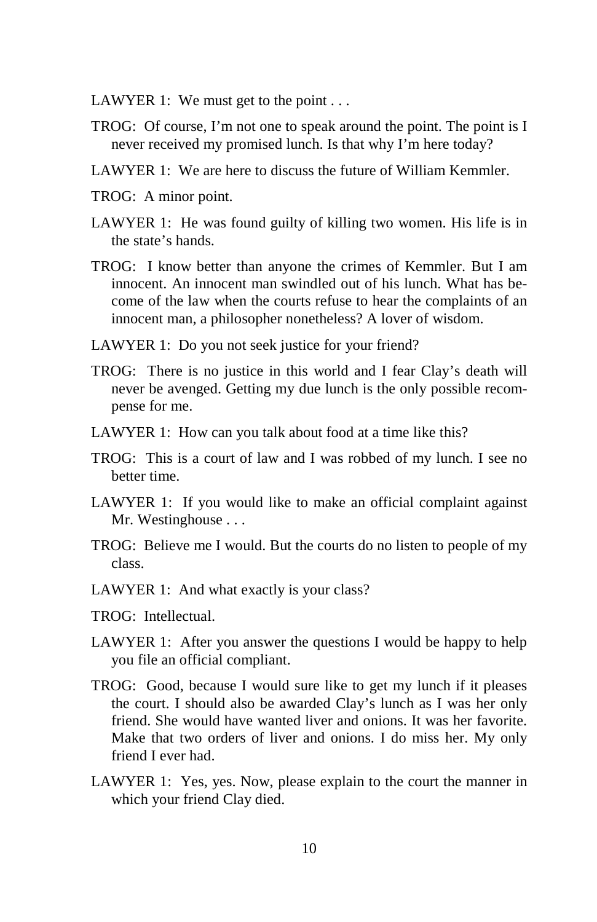- LAWYER 1: We must get to the point . . .
- TROG: Of course, I'm not one to speak around the point. The point is I never received my promised lunch. Is that why I'm here today?
- LAWYER 1: We are here to discuss the future of William Kemmler.
- TROG: A minor point.
- LAWYER 1: He was found guilty of killing two women. His life is in the state's hands.
- TROG: I know better than anyone the crimes of Kemmler. But I am innocent. An innocent man swindled out of his lunch. What has become of the law when the courts refuse to hear the complaints of an innocent man, a philosopher nonetheless? A lover of wisdom.
- LAWYER 1: Do you not seek justice for your friend?
- TROG: There is no justice in this world and I fear Clay's death will never be avenged. Getting my due lunch is the only possible recompense for me.
- LAWYER 1: How can you talk about food at a time like this?
- TROG: This is a court of law and I was robbed of my lunch. I see no better time.
- LAWYER 1: If you would like to make an official complaint against Mr. Westinghouse . . .
- TROG: Believe me I would. But the courts do no listen to people of my class.
- LAWYER 1: And what exactly is your class?
- TROG: Intellectual.
- LAWYER 1: After you answer the questions I would be happy to help you file an official compliant.
- TROG: Good, because I would sure like to get my lunch if it pleases the court. I should also be awarded Clay's lunch as I was her only friend. She would have wanted liver and onions. It was her favorite. Make that two orders of liver and onions. I do miss her. My only friend I ever had.
- LAWYER 1: Yes, yes. Now, please explain to the court the manner in which your friend Clay died.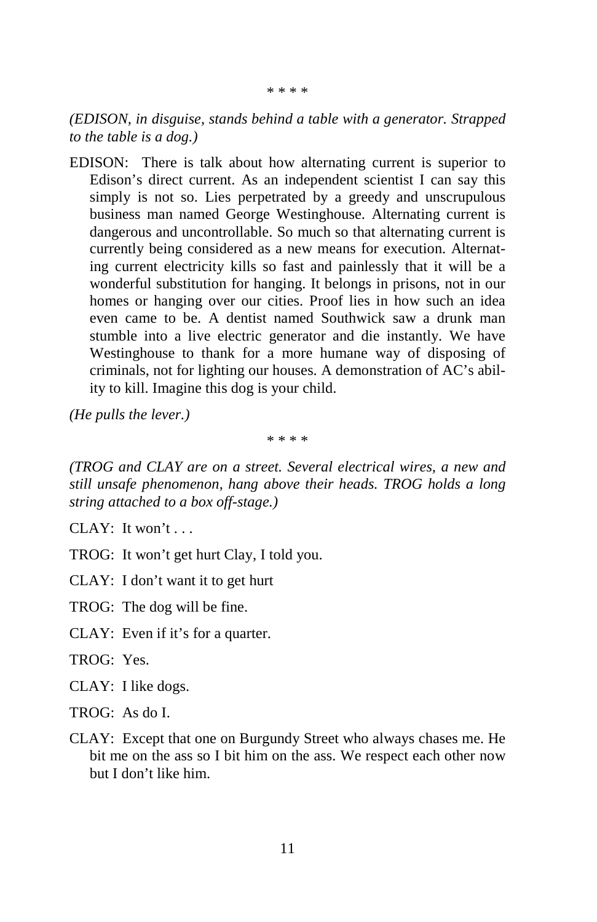*(EDISON, in disguise, stands behind a table with a generator. Strapped to the table is a dog.)*

EDISON: There is talk about how alternating current is superior to Edison's direct current. As an independent scientist I can say this simply is not so. Lies perpetrated by a greedy and unscrupulous business man named George Westinghouse. Alternating current is dangerous and uncontrollable. So much so that alternating current is currently being considered as a new means for execution. Alternating current electricity kills so fast and painlessly that it will be a wonderful substitution for hanging. It belongs in prisons, not in our homes or hanging over our cities. Proof lies in how such an idea even came to be. A dentist named Southwick saw a drunk man stumble into a live electric generator and die instantly. We have Westinghouse to thank for a more humane way of disposing of criminals, not for lighting our houses. A demonstration of AC's ability to kill. Imagine this dog is your child.

*(He pulls the lever.)* 

\* \* \* \*

*(TROG and CLAY are on a street. Several electrical wires, a new and still unsafe phenomenon, hang above their heads. TROG holds a long string attached to a box off-stage.)*

CLAY: It won't  $\dots$ 

TROG: It won't get hurt Clay, I told you.

CLAY: I don't want it to get hurt

TROG: The dog will be fine.

CLAY: Even if it's for a quarter.

TROG: Yes.

CLAY: I like dogs.

TROG: As do I.

CLAY: Except that one on Burgundy Street who always chases me. He bit me on the ass so I bit him on the ass. We respect each other now but I don't like him.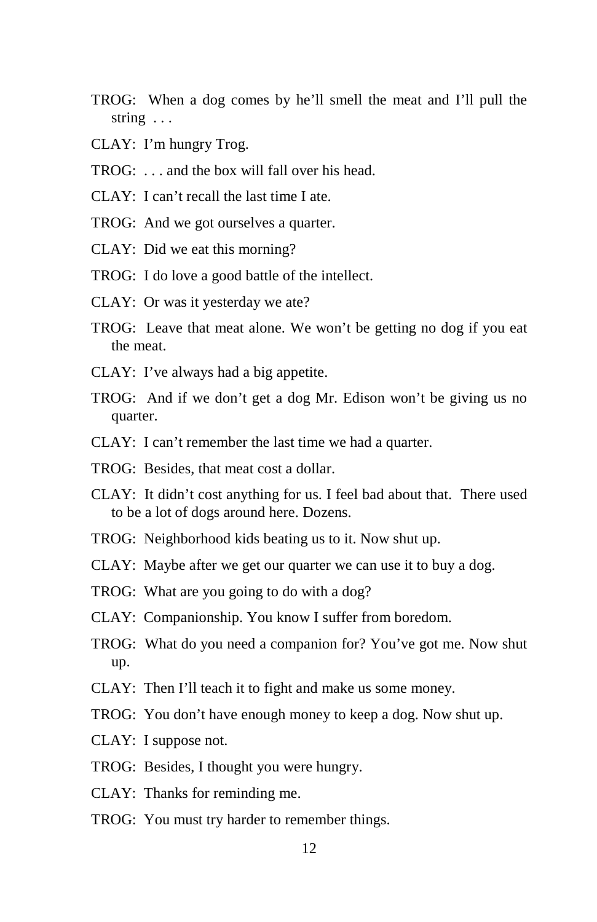- TROG: When a dog comes by he'll smell the meat and I'll pull the string . . .
- CLAY: I'm hungry Trog.
- TROG: . . . and the box will fall over his head.
- CLAY: I can't recall the last time I ate.
- TROG: And we got ourselves a quarter.
- CLAY: Did we eat this morning?
- TROG: I do love a good battle of the intellect.
- CLAY: Or was it yesterday we ate?
- TROG: Leave that meat alone. We won't be getting no dog if you eat the meat.
- CLAY: I've always had a big appetite.
- TROG: And if we don't get a dog Mr. Edison won't be giving us no quarter.
- CLAY: I can't remember the last time we had a quarter.
- TROG: Besides, that meat cost a dollar.
- CLAY: It didn't cost anything for us. I feel bad about that. There used to be a lot of dogs around here. Dozens.
- TROG: Neighborhood kids beating us to it. Now shut up.
- CLAY: Maybe after we get our quarter we can use it to buy a dog.
- TROG: What are you going to do with a dog?
- CLAY: Companionship. You know I suffer from boredom.
- TROG: What do you need a companion for? You've got me. Now shut up.
- CLAY: Then I'll teach it to fight and make us some money.
- TROG: You don't have enough money to keep a dog. Now shut up.
- CLAY: I suppose not.
- TROG: Besides, I thought you were hungry.
- CLAY: Thanks for reminding me.
- TROG: You must try harder to remember things.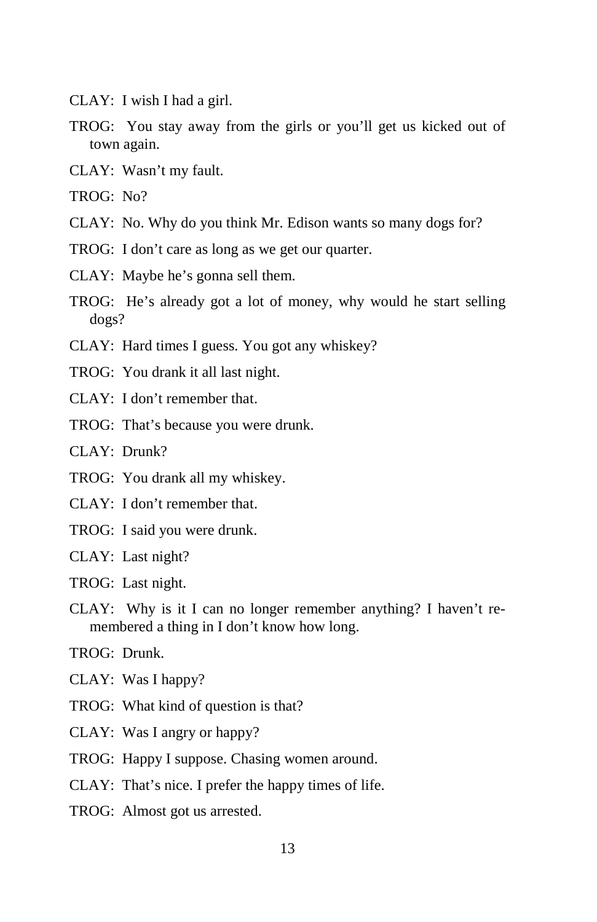- CLAY: I wish I had a girl.
- TROG: You stay away from the girls or you'll get us kicked out of town again.
- CLAY: Wasn't my fault.
- TROG: No?
- CLAY: No. Why do you think Mr. Edison wants so many dogs for?
- TROG: I don't care as long as we get our quarter.
- CLAY: Maybe he's gonna sell them.
- TROG: He's already got a lot of money, why would he start selling dogs?
- CLAY: Hard times I guess. You got any whiskey?
- TROG: You drank it all last night.
- CLAY: I don't remember that.
- TROG: That's because you were drunk.

CLAY: Drunk?

- TROG: You drank all my whiskey.
- CLAY: I don't remember that.
- TROG: I said you were drunk.
- CLAY: Last night?
- TROG: Last night.
- CLAY: Why is it I can no longer remember anything? I haven't remembered a thing in I don't know how long.
- TROG: Drunk.
- CLAY: Was I happy?
- TROG: What kind of question is that?
- CLAY: Was I angry or happy?
- TROG: Happy I suppose. Chasing women around.
- CLAY: That's nice. I prefer the happy times of life.
- TROG: Almost got us arrested.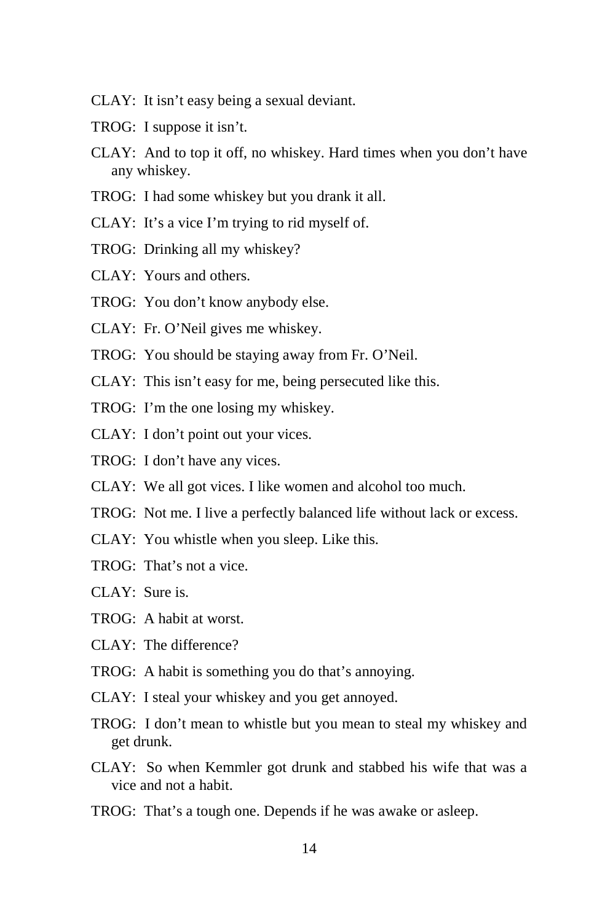- CLAY: It isn't easy being a sexual deviant.
- TROG: I suppose it isn't.
- CLAY: And to top it off, no whiskey. Hard times when you don't have any whiskey.
- TROG: I had some whiskey but you drank it all.
- CLAY: It's a vice I'm trying to rid myself of.
- TROG: Drinking all my whiskey?
- CLAY: Yours and others.
- TROG: You don't know anybody else.
- CLAY: Fr. O'Neil gives me whiskey.
- TROG: You should be staying away from Fr. O'Neil.
- CLAY: This isn't easy for me, being persecuted like this.
- TROG: I'm the one losing my whiskey.
- CLAY: I don't point out your vices.
- TROG: I don't have any vices.
- CLAY: We all got vices. I like women and alcohol too much.
- TROG: Not me. I live a perfectly balanced life without lack or excess.
- CLAY: You whistle when you sleep. Like this.
- TROG: That's not a vice.
- CLAY: Sure is.
- TROG: A habit at worst.
- CLAY: The difference?
- TROG: A habit is something you do that's annoying.
- CLAY: I steal your whiskey and you get annoyed.
- TROG: I don't mean to whistle but you mean to steal my whiskey and get drunk.
- CLAY: So when Kemmler got drunk and stabbed his wife that was a vice and not a habit.
- TROG: That's a tough one. Depends if he was awake or asleep.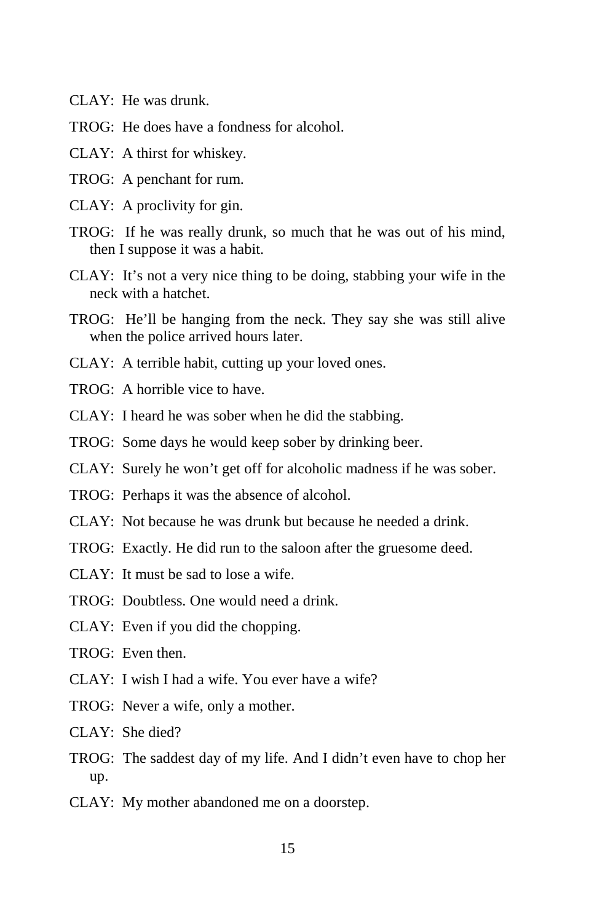- CLAY: He was drunk.
- TROG: He does have a fondness for alcohol.
- CLAY: A thirst for whiskey.
- TROG: A penchant for rum.
- CLAY: A proclivity for gin.
- TROG: If he was really drunk, so much that he was out of his mind, then I suppose it was a habit.
- CLAY: It's not a very nice thing to be doing, stabbing your wife in the neck with a hatchet.
- TROG: He'll be hanging from the neck. They say she was still alive when the police arrived hours later.
- CLAY: A terrible habit, cutting up your loved ones.
- TROG: A horrible vice to have.
- CLAY: I heard he was sober when he did the stabbing.
- TROG: Some days he would keep sober by drinking beer.
- CLAY: Surely he won't get off for alcoholic madness if he was sober.
- TROG: Perhaps it was the absence of alcohol.
- CLAY: Not because he was drunk but because he needed a drink.
- TROG: Exactly. He did run to the saloon after the gruesome deed.
- CLAY: It must be sad to lose a wife.
- TROG: Doubtless. One would need a drink.
- CLAY: Even if you did the chopping.
- $TROG$ : Even then.
- CLAY: I wish I had a wife. You ever have a wife?
- TROG: Never a wife, only a mother.
- $CLAY:$  She died?
- TROG: The saddest day of my life. And I didn't even have to chop her up.
- CLAY: My mother abandoned me on a doorstep.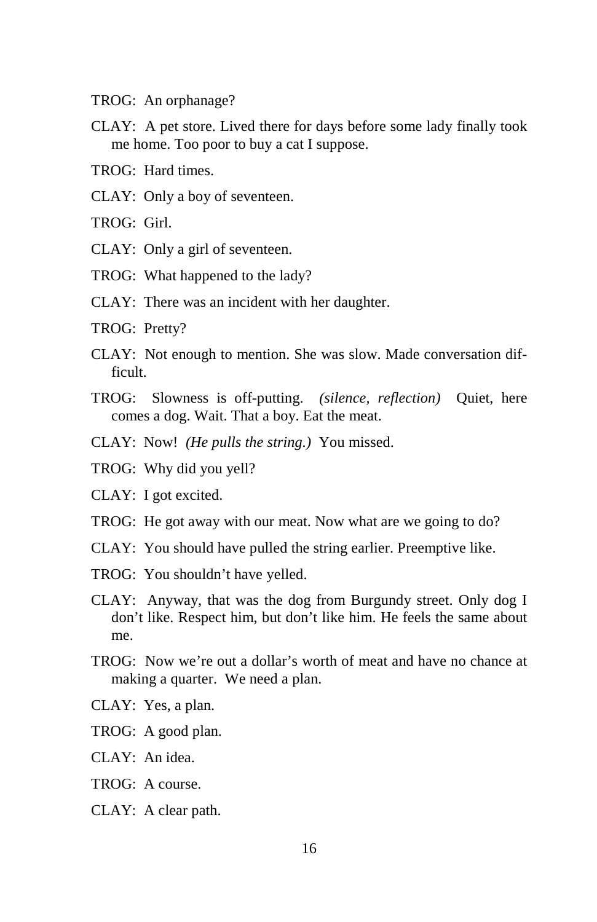- TROG: An orphanage?
- CLAY: A pet store. Lived there for days before some lady finally took me home. Too poor to buy a cat I suppose.
- TROG: Hard times.
- CLAY: Only a boy of seventeen.
- TROG: Girl.
- CLAY: Only a girl of seventeen.
- TROG: What happened to the lady?
- CLAY: There was an incident with her daughter.
- TROG: Pretty?
- CLAY: Not enough to mention. She was slow. Made conversation difficult.
- TROG: Slowness is off-putting. *(silence, reflection)* Quiet, here comes a dog. Wait. That a boy. Eat the meat.
- CLAY: Now! *(He pulls the string.)* You missed.
- TROG: Why did you yell?
- CLAY: I got excited.
- TROG: He got away with our meat. Now what are we going to do?
- CLAY: You should have pulled the string earlier. Preemptive like.
- TROG: You shouldn't have yelled.
- CLAY: Anyway, that was the dog from Burgundy street. Only dog I don't like. Respect him, but don't like him. He feels the same about me.
- TROG: Now we're out a dollar's worth of meat and have no chance at making a quarter. We need a plan.
- CLAY: Yes, a plan.
- TROG: A good plan.
- CLAY: An idea.
- TROG: A course.
- CLAY: A clear path.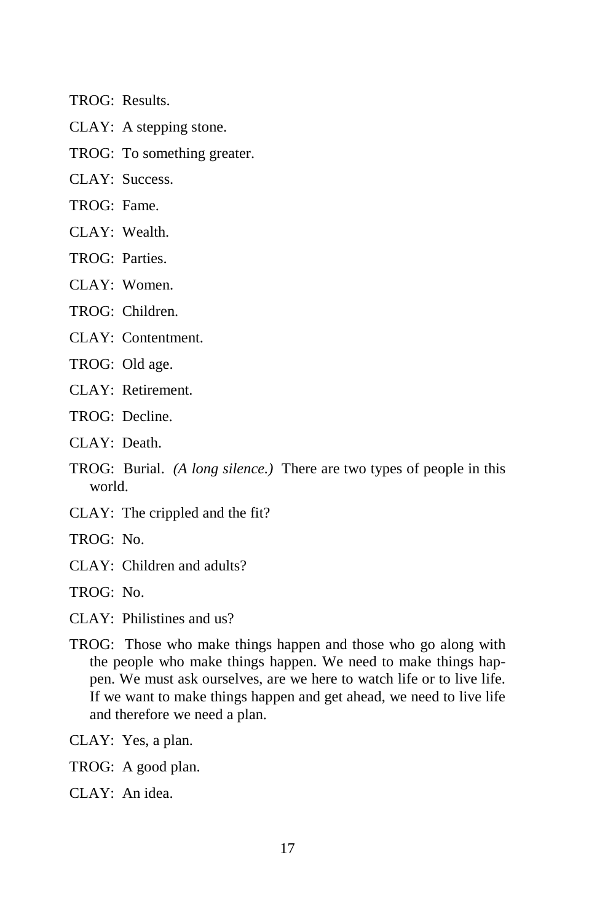TROG: Results.

- CLAY: A stepping stone.
- TROG: To something greater.

CLAY: Success.

- TROG: Fame.
- CLAY: Wealth.
- TROG: Parties.
- CLAY: Women.
- TROG: Children.
- CLAY: Contentment.
- TROG: Old age.
- CLAY: Retirement.
- TROG: Decline.
- $CLAY: Death$
- TROG: Burial. *(A long silence.)* There are two types of people in this world.
- CLAY: The crippled and the fit?
- TROG: No.
- CLAY: Children and adults?
- TROG: No.
- CLAY: Philistines and us?
- TROG: Those who make things happen and those who go along with the people who make things happen. We need to make things happen. We must ask ourselves, are we here to watch life or to live life. If we want to make things happen and get ahead, we need to live life and therefore we need a plan.
- CLAY: Yes, a plan.
- TROG: A good plan.
- CLAY: An idea.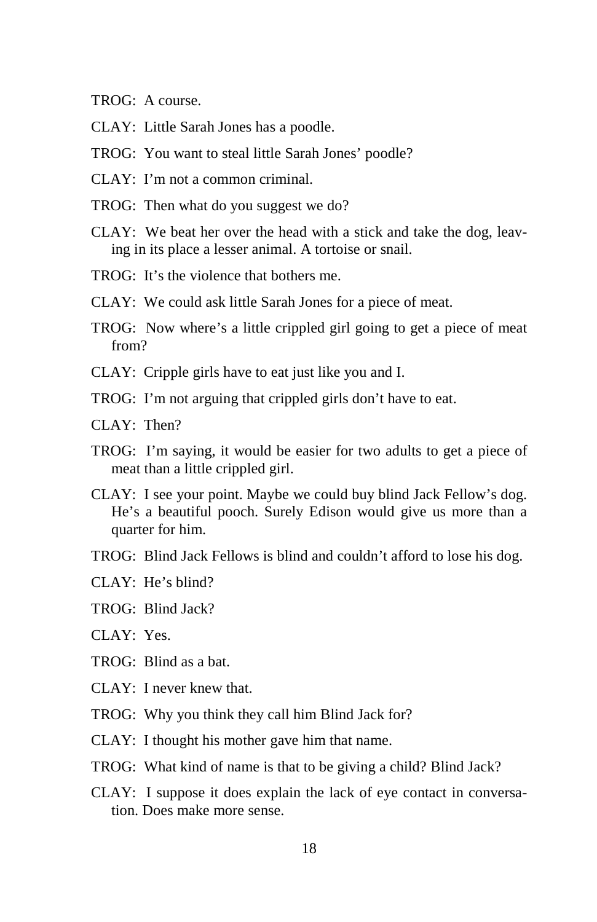- TROG: A course.
- CLAY: Little Sarah Jones has a poodle.
- TROG: You want to steal little Sarah Jones' poodle?
- CLAY: I'm not a common criminal.
- TROG: Then what do you suggest we do?
- CLAY: We beat her over the head with a stick and take the dog, leaving in its place a lesser animal. A tortoise or snail.
- TROG: It's the violence that bothers me.
- CLAY: We could ask little Sarah Jones for a piece of meat.
- TROG: Now where's a little crippled girl going to get a piece of meat from?
- CLAY: Cripple girls have to eat just like you and I.
- TROG: I'm not arguing that crippled girls don't have to eat.
- $CI AY^T$ . Then?
- TROG: I'm saying, it would be easier for two adults to get a piece of meat than a little crippled girl.
- CLAY: I see your point. Maybe we could buy blind Jack Fellow's dog. He's a beautiful pooch. Surely Edison would give us more than a quarter for him.
- TROG: Blind Jack Fellows is blind and couldn't afford to lose his dog.
- CLAY: He's blind?
- TROG: Blind Jack?
- $CI AY: Yes$
- TROG: Blind as a bat.
- CLAY: I never knew that.
- TROG: Why you think they call him Blind Jack for?
- CLAY: I thought his mother gave him that name.
- TROG: What kind of name is that to be giving a child? Blind Jack?
- CLAY: I suppose it does explain the lack of eye contact in conversation. Does make more sense.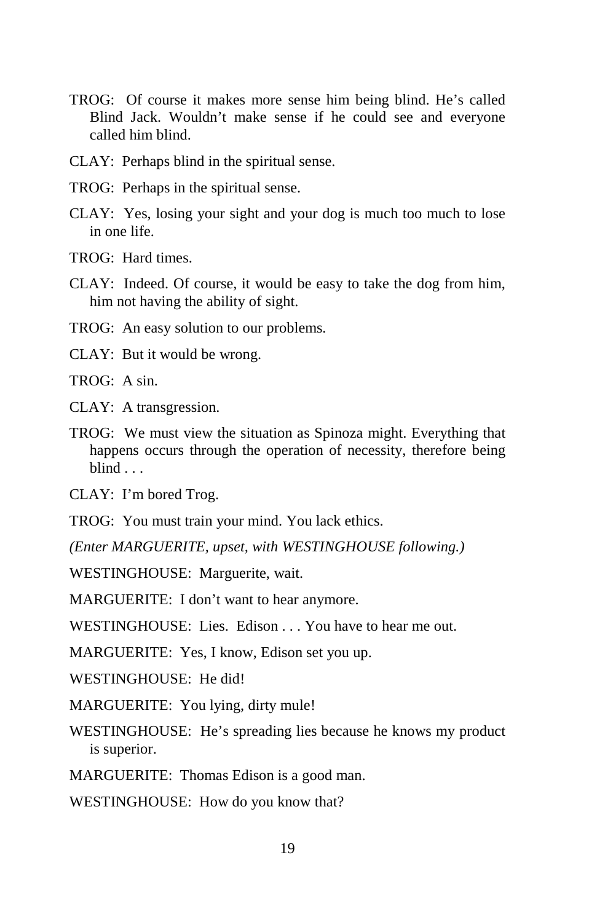- TROG: Of course it makes more sense him being blind. He's called Blind Jack. Wouldn't make sense if he could see and everyone called him blind.
- CLAY: Perhaps blind in the spiritual sense.
- TROG: Perhaps in the spiritual sense.
- CLAY: Yes, losing your sight and your dog is much too much to lose in one life.
- TROG: Hard times.
- CLAY: Indeed. Of course, it would be easy to take the dog from him, him not having the ability of sight.
- TROG: An easy solution to our problems.
- CLAY: But it would be wrong.
- TROG: A sin.
- CLAY: A transgression.
- TROG: We must view the situation as Spinoza might. Everything that happens occurs through the operation of necessity, therefore being blind .
- CLAY: I'm bored Trog.
- TROG: You must train your mind. You lack ethics.
- *(Enter MARGUERITE, upset, with WESTINGHOUSE following.)*

WESTINGHOUSE: Marguerite, wait.

MARGUERITE: I don't want to hear anymore.

- WESTINGHOUSE: Lies. Edison . . . You have to hear me out.
- MARGUERITE: Yes, I know, Edison set you up.
- WESTINGHOUSE: He did!
- MARGUERITE: You lying, dirty mule!
- WESTINGHOUSE: He's spreading lies because he knows my product is superior.
- MARGUERITE: Thomas Edison is a good man.
- WESTINGHOUSE: How do you know that?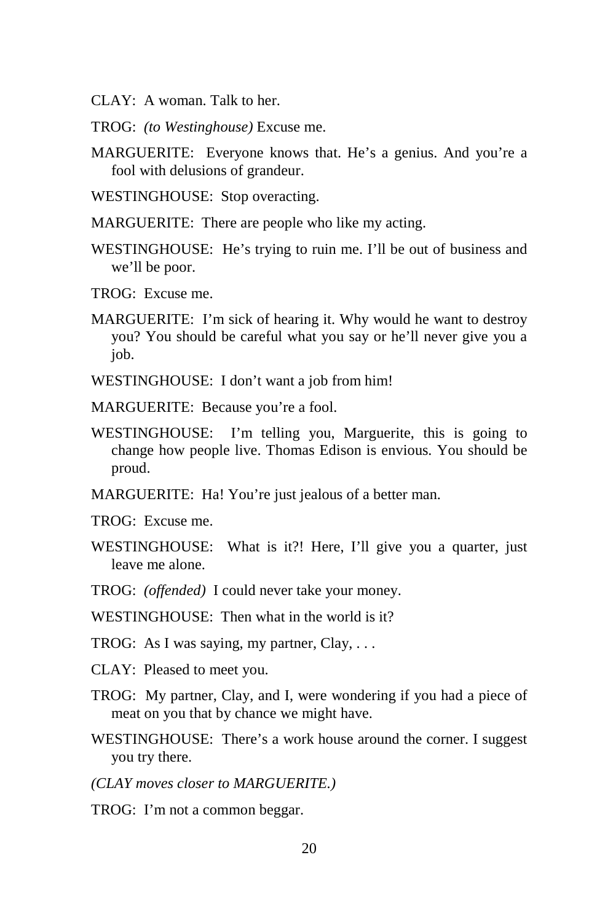- CLAY: A woman. Talk to her.
- TROG: *(to Westinghouse)* Excuse me.
- MARGUERITE: Everyone knows that. He's a genius. And you're a fool with delusions of grandeur.
- WESTINGHOUSE: Stop overacting.
- MARGUERITE: There are people who like my acting.
- WESTINGHOUSE: He's trying to ruin me. I'll be out of business and we'll be poor.
- TROG: Excuse me.
- MARGUERITE: I'm sick of hearing it. Why would he want to destroy you? You should be careful what you say or he'll never give you a job.
- WESTINGHOUSE: I don't want a job from him!
- MARGUERITE: Because you're a fool.
- WESTINGHOUSE: I'm telling you, Marguerite, this is going to change how people live. Thomas Edison is envious. You should be proud.
- MARGUERITE: Ha! You're just jealous of a better man.
- TROG: Excuse me.
- WESTINGHOUSE: What is it?! Here, I'll give you a quarter, just leave me alone.
- TROG: *(offended)* I could never take your money.
- WESTINGHOUSE: Then what in the world is it?
- TROG: As I was saying, my partner, Clay, . . .
- CLAY: Pleased to meet you.
- TROG: My partner, Clay, and I, were wondering if you had a piece of meat on you that by chance we might have.
- WESTINGHOUSE: There's a work house around the corner. I suggest you try there.
- *(CLAY moves closer to MARGUERITE.)*
- TROG: I'm not a common beggar.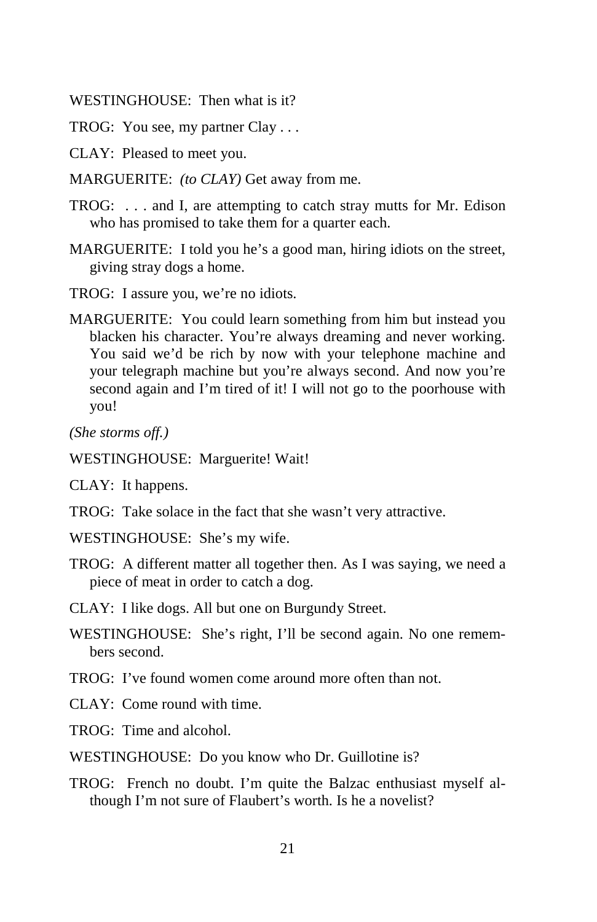WESTINGHOUSE: Then what is it?

TROG: You see, my partner Clay . . .

- CLAY: Pleased to meet you.
- MARGUERITE: *(to CLAY)* Get away from me.
- TROG: . . . and I, are attempting to catch stray mutts for Mr. Edison who has promised to take them for a quarter each.
- MARGUERITE: I told you he's a good man, hiring idiots on the street, giving stray dogs a home.
- TROG: I assure you, we're no idiots.
- MARGUERITE: You could learn something from him but instead you blacken his character. You're always dreaming and never working. You said we'd be rich by now with your telephone machine and your telegraph machine but you're always second. And now you're second again and I'm tired of it! I will not go to the poorhouse with you!

*(She storms off.)* 

WESTINGHOUSE: Marguerite! Wait!

CLAY: It happens.

- TROG: Take solace in the fact that she wasn't very attractive.
- WESTINGHOUSE: She's my wife.
- TROG: A different matter all together then. As I was saying, we need a piece of meat in order to catch a dog.

CLAY: I like dogs. All but one on Burgundy Street.

- WESTINGHOUSE: She's right, I'll be second again. No one remembers second.
- TROG: I've found women come around more often than not.
- CLAY: Come round with time.

TROG: Time and alcohol.

- WESTINGHOUSE: Do you know who Dr. Guillotine is?
- TROG: French no doubt. I'm quite the Balzac enthusiast myself although I'm not sure of Flaubert's worth. Is he a novelist?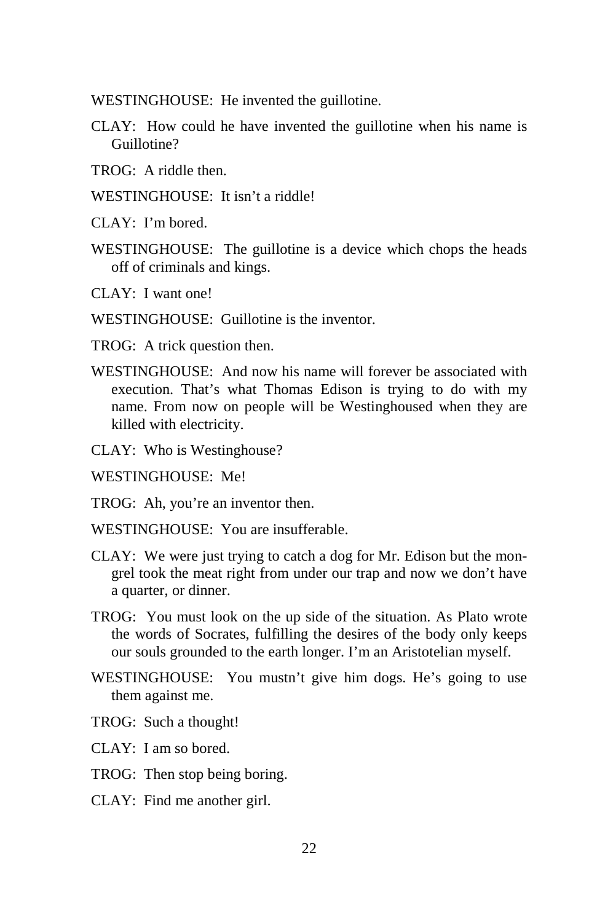WESTINGHOUSE: He invented the guillotine.

- CLAY: How could he have invented the guillotine when his name is Guillotine?
- TROG: A riddle then.
- WESTINGHOUSE: It isn't a riddle!
- CLAY: I'm bored.
- WESTINGHOUSE: The guillotine is a device which chops the heads off of criminals and kings.
- CLAY: I want one!
- WESTINGHOUSE: Guillotine is the inventor.
- TROG: A trick question then.
- WESTINGHOUSE: And now his name will forever be associated with execution. That's what Thomas Edison is trying to do with my name. From now on people will be Westinghoused when they are killed with electricity.
- CLAY: Who is Westinghouse?
- WESTINGHOUSE: Me!

TROG: Ah, you're an inventor then.

- WESTINGHOUSE: You are insufferable.
- CLAY: We were just trying to catch a dog for Mr. Edison but the mongrel took the meat right from under our trap and now we don't have a quarter, or dinner.
- TROG: You must look on the up side of the situation. As Plato wrote the words of Socrates, fulfilling the desires of the body only keeps our souls grounded to the earth longer. I'm an Aristotelian myself.
- WESTINGHOUSE: You mustn't give him dogs. He's going to use them against me.
- TROG: Such a thought!
- CLAY: I am so bored.
- TROG: Then stop being boring.
- CLAY: Find me another girl.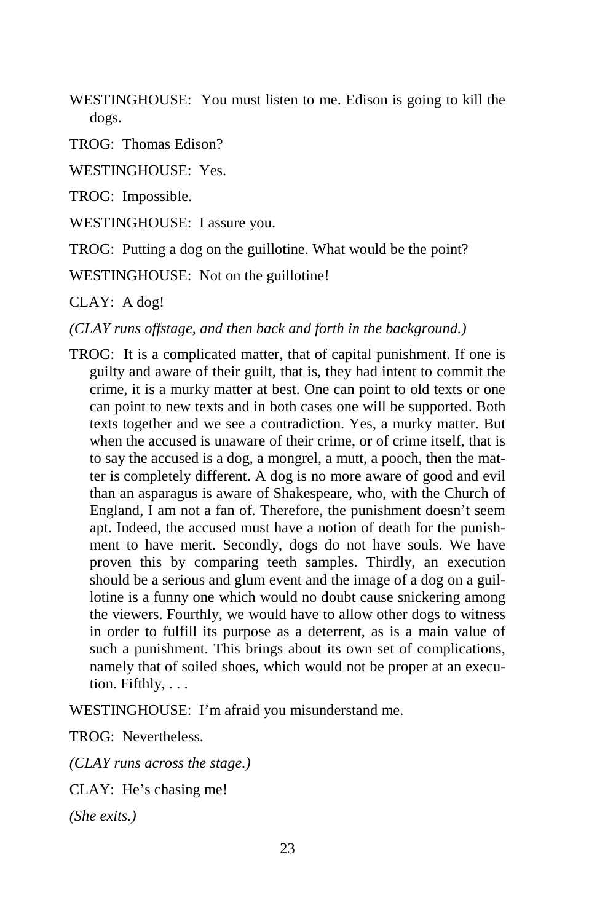WESTINGHOUSE: You must listen to me. Edison is going to kill the dogs.

TROG: Thomas Edison?

WESTINGHOUSE: Yes.

TROG: Impossible.

WESTINGHOUSE: I assure you.

TROG: Putting a dog on the guillotine. What would be the point?

WESTINGHOUSE: Not on the guillotine!

CLAY: A dog!

*(CLAY runs offstage, and then back and forth in the background.)* 

TROG: It is a complicated matter, that of capital punishment. If one is guilty and aware of their guilt, that is, they had intent to commit the crime, it is a murky matter at best. One can point to old texts or one can point to new texts and in both cases one will be supported. Both texts together and we see a contradiction. Yes, a murky matter. But when the accused is unaware of their crime, or of crime itself, that is to say the accused is a dog, a mongrel, a mutt, a pooch, then the matter is completely different. A dog is no more aware of good and evil than an asparagus is aware of Shakespeare, who, with the Church of England, I am not a fan of. Therefore, the punishment doesn't seem apt. Indeed, the accused must have a notion of death for the punishment to have merit. Secondly, dogs do not have souls. We have proven this by comparing teeth samples. Thirdly, an execution should be a serious and glum event and the image of a dog on a guillotine is a funny one which would no doubt cause snickering among the viewers. Fourthly, we would have to allow other dogs to witness in order to fulfill its purpose as a deterrent, as is a main value of such a punishment. This brings about its own set of complications, namely that of soiled shoes, which would not be proper at an execution. Fifthly, . . .

WESTINGHOUSE: I'm afraid you misunderstand me.

TROG: Nevertheless.

*(CLAY runs across the stage.)* 

CLAY: He's chasing me!

*(She exits.)*